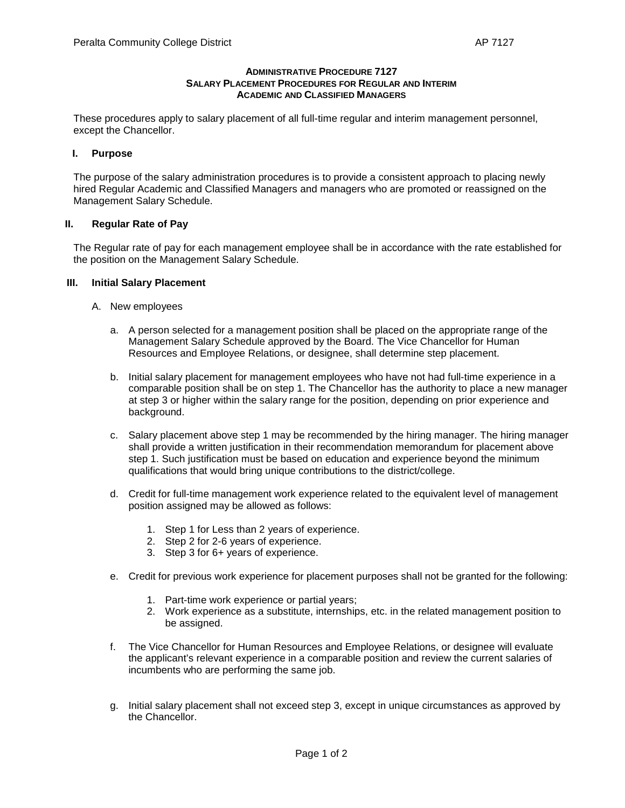### **ADMINISTRATIVE PROCEDURE 7127 SALARY PLACEMENT PROCEDURES FOR REGULAR AND INTERIM ACADEMIC AND CLASSIFIED MANAGERS**

These procedures apply to salary placement of all full-time regular and interim management personnel, except the Chancellor.

### **I. Purpose**

The purpose of the salary administration procedures is to provide a consistent approach to placing newly hired Regular Academic and Classified Managers and managers who are promoted or reassigned on the Management Salary Schedule.

#### **II. Regular Rate of Pay**

The Regular rate of pay for each management employee shall be in accordance with the rate established for the position on the Management Salary Schedule.

#### **III. Initial Salary Placement**

- A. New employees
	- a. A person selected for a management position shall be placed on the appropriate range of the Management Salary Schedule approved by the Board. The Vice Chancellor for Human Resources and Employee Relations, or designee, shall determine step placement.
	- b. Initial salary placement for management employees who have not had full-time experience in a comparable position shall be on step 1. The Chancellor has the authority to place a new manager at step 3 or higher within the salary range for the position, depending on prior experience and background.
	- c. Salary placement above step 1 may be recommended by the hiring manager. The hiring manager shall provide a written justification in their recommendation memorandum for placement above step 1. Such justification must be based on education and experience beyond the minimum qualifications that would bring unique contributions to the district/college.
	- d. Credit for full-time management work experience related to the equivalent level of management position assigned may be allowed as follows:
		- 1. Step 1 for Less than 2 years of experience.
		- 2. Step 2 for 2-6 years of experience.
		- 3. Step 3 for 6+ years of experience.
	- e. Credit for previous work experience for placement purposes shall not be granted for the following:
		- 1. Part-time work experience or partial years;
		- 2. Work experience as a substitute, internships, etc. in the related management position to be assigned.
	- f. The Vice Chancellor for Human Resources and Employee Relations, or designee will evaluate the applicant's relevant experience in a comparable position and review the current salaries of incumbents who are performing the same job.
	- g. Initial salary placement shall not exceed step 3, except in unique circumstances as approved by the Chancellor.